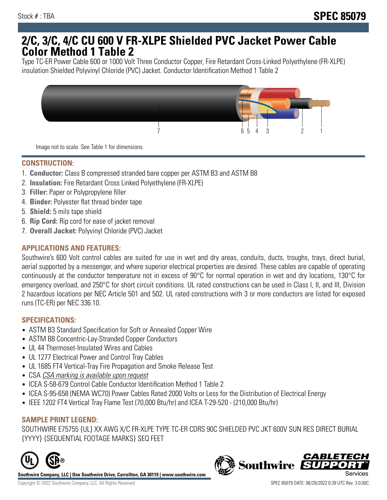## **2/C, 3/C, 4/C CU 600 V FR-XLPE Shielded PVC Jacket Power Cable Color Method 1 Table 2**

Type TC-ER Power Cable 600 or 1000 Volt Three Conductor Copper, Fire Retardant Cross-Linked Polyethylene (FR-XLPE) insulation Shielded Polyvinyl Chloride (PVC) Jacket. Conductor Identification Method 1 Table 2



Image not to scale. See Table 1 for dimensions.

## **CONSTRUCTION:**

- 1. **Conductor:** Class B compressed stranded bare copper per ASTM B3 and ASTM B8
- 2. **Insulation:** Fire Retardant Cross Linked Polyethylene (FR-XLPE)
- 3. **Filler:** Paper or Polypropylene filler
- 4. **Binder:** Polyester flat thread binder tape
- 5. **Shield:** 5 mils tape shield
- 6. **Rip Cord:** Rip cord for ease of jacket removal
- 7. **Overall Jacket:** Polyvinyl Chloride (PVC) Jacket

### **APPLICATIONS AND FEATURES:**

Southwire's 600 Volt control cables are suited for use in wet and dry areas, conduits, ducts, troughs, trays, direct burial, aerial supported by a messenger, and where superior electrical properties are desired. These cables are capable of operating continuously at the conductor temperature not in excess of 90°C for normal operation in wet and dry locations, 130°C for emergency overload, and 250°C for short circuit conditions. UL rated constructions can be used in Class I, II, and III, Division 2 hazardous locations per NEC Article 501 and 502. UL rated constructions with 3 or more conductors are listed for exposed runs (TC-ER) per NEC 336.10.

#### **SPECIFICATIONS:**

- ASTM B3 Standard Specification for Soft or Annealed Copper Wire
- ASTM B8 Concentric-Lay-Stranded Copper Conductors
- UL 44 Thermoset-Insulated Wires and Cables
- UL 1277 Electrical Power and Control Tray Cables
- UL 1685 FT4 Vertical-Tray Fire Propagation and Smoke Release Test
- CSA CSA marking is available upon request
- ICEA S-58-679 Control Cable Conductor Identification Method 1 Table 2
- ICEA S-95-658 (NEMA WC70) Power Cables Rated 2000 Volts or Less for the Distribution of Electrical Energy
- IEEE 1202 FT4 Vertical Tray Flame Test (70,000 Btu/hr) and ICEA T-29-520 (210,000 Btu/hr)

#### **SAMPLE PRINT LEGEND:**

SOUTHWIRE E75755 {UL} XX AWG X/C FR-XLPE TYPE TC-ER CDRS 90C SHIELDED PVC JKT 600V SUN RES DIRECT BURIAL {YYYY} {SEQUENTIAL FOOTAGE MARKS} SEQ FEET



**Southwire Company, LLC | One Southwire Drive, Carrollton, GA 30119 | www.southwire.com**